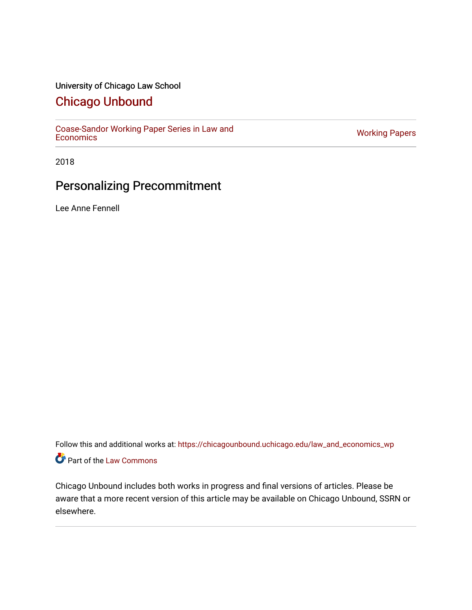### University of Chicago Law School

## [Chicago Unbound](https://chicagounbound.uchicago.edu/)

[Coase-Sandor Working Paper Series in Law and](https://chicagounbound.uchicago.edu/law_and_economics_wp) [Economics](https://chicagounbound.uchicago.edu/law_and_economics_wp) [Working Papers](https://chicagounbound.uchicago.edu/working_papers) 

2018

# Personalizing Precommitment

Lee Anne Fennell

Follow this and additional works at: [https://chicagounbound.uchicago.edu/law\\_and\\_economics\\_wp](https://chicagounbound.uchicago.edu/law_and_economics_wp?utm_source=chicagounbound.uchicago.edu%2Flaw_and_economics_wp%2F74&utm_medium=PDF&utm_campaign=PDFCoverPages)  Part of the [Law Commons](http://network.bepress.com/hgg/discipline/578?utm_source=chicagounbound.uchicago.edu%2Flaw_and_economics_wp%2F74&utm_medium=PDF&utm_campaign=PDFCoverPages)

Chicago Unbound includes both works in progress and final versions of articles. Please be aware that a more recent version of this article may be available on Chicago Unbound, SSRN or elsewhere.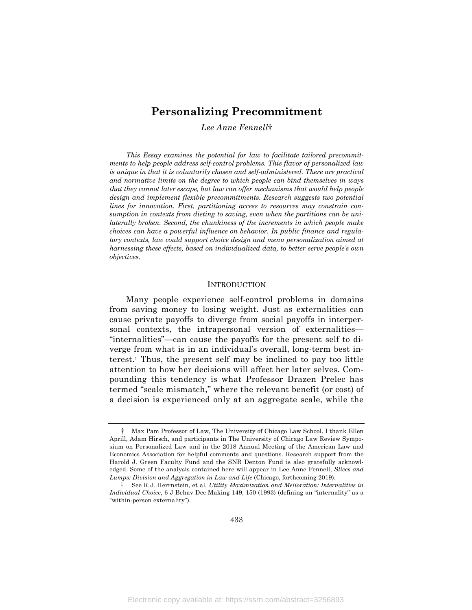### **Personalizing Precommitment**

*Lee Anne Fennell*†

*This Essay examines the potential for law to facilitate tailored precommitments to help people address self-control problems. This flavor of personalized law is unique in that it is voluntarily chosen and self-administered. There are practical and normative limits on the degree to which people can bind themselves in ways that they cannot later escape, but law can offer mechanisms that would help people design and implement flexible precommitments. Research suggests two potential lines for innovation. First, partitioning access to resources may constrain consumption in contexts from dieting to saving, even when the partitions can be unilaterally broken. Second, the chunkiness of the increments in which people make choices can have a powerful influence on behavior. In public finance and regulatory contexts, law could support choice design and menu personalization aimed at harnessing these effects, based on individualized data, to better serve people's own objectives.*

#### **INTRODUCTION**

Many people experience self-control problems in domains from saving money to losing weight. Just as externalities can cause private payoffs to diverge from social payoffs in interpersonal contexts, the intrapersonal version of externalities— "internalities"—can cause the payoffs for the present self to diverge from what is in an individual's overall, long-term best interest.1 Thus, the present self may be inclined to pay too little attention to how her decisions will affect her later selves. Compounding this tendency is what Professor Drazen Prelec has termed "scale mismatch," where the relevant benefit (or cost) of a decision is experienced only at an aggregate scale, while the

<sup>†</sup> Max Pam Professor of Law, The University of Chicago Law School. I thank Ellen Aprill, Adam Hirsch, and participants in The University of Chicago Law Review Symposium on Personalized Law and in the 2018 Annual Meeting of the American Law and Economics Association for helpful comments and questions. Research support from the Harold J. Green Faculty Fund and the SNR Denton Fund is also gratefully acknowledged. Some of the analysis contained here will appear in Lee Anne Fennell, *Slices and Lumps: Division and Aggregation in Law and Life* (Chicago, forthcoming 2019).

<sup>1</sup> See R.J. Herrnstein, et al, *Utility Maximization and Melioration: Internalities in Individual Choice*, 6 J Behav Dec Making 149, 150 (1993) (defining an "internality" as a "within-person externality").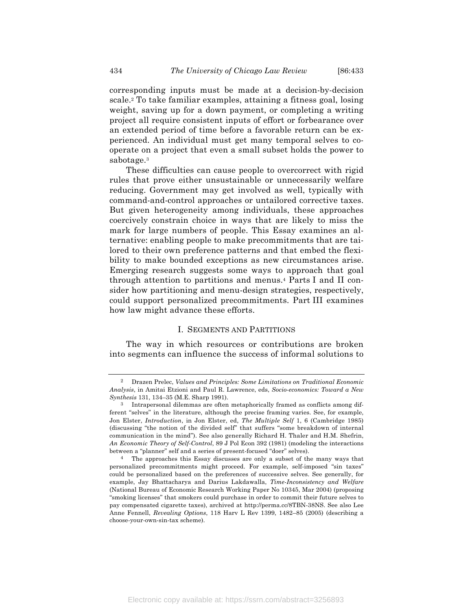corresponding inputs must be made at a decision-by-decision scale.2 To take familiar examples, attaining a fitness goal, losing weight, saving up for a down payment, or completing a writing project all require consistent inputs of effort or forbearance over an extended period of time before a favorable return can be experienced. An individual must get many temporal selves to cooperate on a project that even a small subset holds the power to sabotage.3

These difficulties can cause people to overcorrect with rigid rules that prove either unsustainable or unnecessarily welfare reducing. Government may get involved as well, typically with command-and-control approaches or untailored corrective taxes. But given heterogeneity among individuals, these approaches coercively constrain choice in ways that are likely to miss the mark for large numbers of people. This Essay examines an alternative: enabling people to make precommitments that are tailored to their own preference patterns and that embed the flexibility to make bounded exceptions as new circumstances arise. Emerging research suggests some ways to approach that goal through attention to partitions and menus.4 Parts I and II consider how partitioning and menu-design strategies, respectively, could support personalized precommitments. Part III examines how law might advance these efforts.

#### I. SEGMENTS AND PARTITIONS

The way in which resources or contributions are broken into segments can influence the success of informal solutions to

<sup>2</sup> Drazen Prelec, *Values and Principles: Some Limitations on Traditional Economic Analysis*, in Amitai Etzioni and Paul R. Lawrence, eds, *Socio-economics: Toward a New Synthesis* 131, 134–35 (M.E. Sharp 1991).

<sup>3</sup> Intrapersonal dilemmas are often metaphorically framed as conflicts among different "selves" in the literature, although the precise framing varies. See, for example, Jon Elster, *Introduction*, in Jon Elster, ed, *The Multiple Self* 1, 6 (Cambridge 1985) (discussing "the notion of the divided self" that suffers "some breakdown of internal communication in the mind"). See also generally Richard H. Thaler and H.M. Shefrin, *An Economic Theory of Self-Control*, 89 J Pol Econ 392 (1981) (modeling the interactions between a "planner" self and a series of present-focused "doer" selves).

<sup>4</sup> The approaches this Essay discusses are only a subset of the many ways that personalized precommitments might proceed. For example, self-imposed "sin taxes" could be personalized based on the preferences of successive selves. See generally, for example, Jay Bhattacharya and Darius Lakdawalla, *Time-Inconsistency and Welfare* (National Bureau of Economic Research Working Paper No 10345, Mar 2004) (proposing "smoking licenses" that smokers could purchase in order to commit their future selves to pay compensated cigarette taxes), archived at http://perma.cc/8TBN-38NS. See also Lee Anne Fennell, *Revealing Options*, 118 Harv L Rev 1399, 1482–85 (2005) (describing a choose-your-own-sin-tax scheme).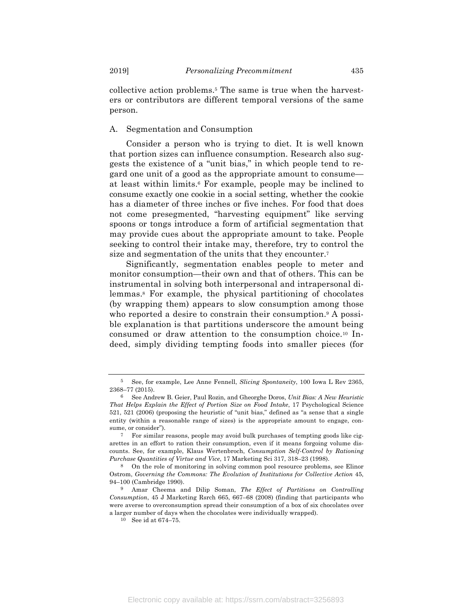collective action problems.5 The same is true when the harvesters or contributors are different temporal versions of the same person.

#### A. Segmentation and Consumption

Consider a person who is trying to diet. It is well known that portion sizes can influence consumption. Research also suggests the existence of a "unit bias," in which people tend to regard one unit of a good as the appropriate amount to consume at least within limits.6 For example, people may be inclined to consume exactly one cookie in a social setting, whether the cookie has a diameter of three inches or five inches. For food that does not come presegmented, "harvesting equipment" like serving spoons or tongs introduce a form of artificial segmentation that may provide cues about the appropriate amount to take. People seeking to control their intake may, therefore, try to control the size and segmentation of the units that they encounter.7

Significantly, segmentation enables people to meter and monitor consumption—their own and that of others. This can be instrumental in solving both interpersonal and intrapersonal dilemmas.8 For example, the physical partitioning of chocolates (by wrapping them) appears to slow consumption among those who reported a desire to constrain their consumption.<sup>9</sup> A possible explanation is that partitions underscore the amount being consumed or draw attention to the consumption choice.10 Indeed, simply dividing tempting foods into smaller pieces (for

<sup>5</sup> See, for example, Lee Anne Fennell, *Slicing Spontaneity*, 100 Iowa L Rev 2365, 2368–77 (2015).

<sup>6</sup> See Andrew B. Geier, Paul Rozin, and Gheorghe Doros, *Unit Bias: A New Heuristic That Helps Explain the Effect of Portion Size on Food Intake*, 17 Psychological Science 521, 521 (2006) (proposing the heuristic of "unit bias," defined as "a sense that a single entity (within a reasonable range of sizes) is the appropriate amount to engage, consume, or consider").

<sup>7</sup> For similar reasons, people may avoid bulk purchases of tempting goods like cigarettes in an effort to ration their consumption, even if it means forgoing volume discounts. See, for example, Klaus Wertenbroch, *Consumption Self-Control by Rationing Purchase Quantities of Virtue and Vice*, 17 Marketing Sci 317, 318–23 (1998).

<sup>8</sup> On the role of monitoring in solving common pool resource problems, see Elinor Ostrom, *Governing the Commons: The Evolution of Institutions for Collective Action* 45, 94–100 (Cambridge 1990).

<sup>9</sup> Amar Cheema and Dilip Soman, *The Effect of Partitions on Controlling Consumption*, 45 J Marketing Rsrch 665, 667–68 (2008) (finding that participants who were averse to overconsumption spread their consumption of a box of six chocolates over a larger number of days when the chocolates were individually wrapped).

<sup>10</sup> See id at 674–75.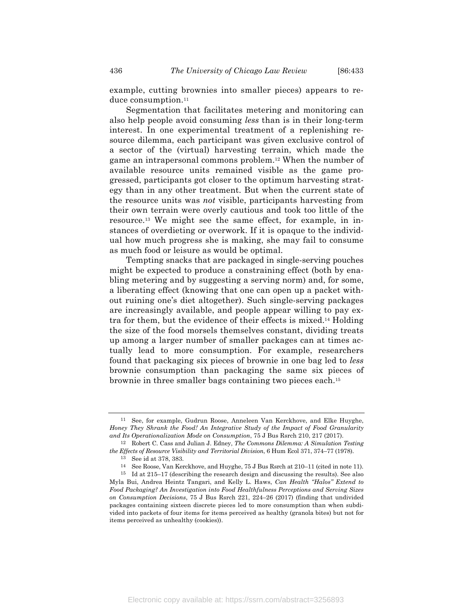example, cutting brownies into smaller pieces) appears to reduce consumption.<sup>11</sup>

Segmentation that facilitates metering and monitoring can also help people avoid consuming *less* than is in their long-term interest. In one experimental treatment of a replenishing resource dilemma, each participant was given exclusive control of a sector of the (virtual) harvesting terrain, which made the game an intrapersonal commons problem.12 When the number of available resource units remained visible as the game progressed, participants got closer to the optimum harvesting strategy than in any other treatment. But when the current state of the resource units was *not* visible, participants harvesting from their own terrain were overly cautious and took too little of the resource.13 We might see the same effect, for example, in instances of overdieting or overwork. If it is opaque to the individual how much progress she is making, she may fail to consume as much food or leisure as would be optimal.

Tempting snacks that are packaged in single-serving pouches might be expected to produce a constraining effect (both by enabling metering and by suggesting a serving norm) and, for some, a liberating effect (knowing that one can open up a packet without ruining one's diet altogether). Such single-serving packages are increasingly available, and people appear willing to pay extra for them, but the evidence of their effects is mixed.14 Holding the size of the food morsels themselves constant, dividing treats up among a larger number of smaller packages can at times actually lead to more consumption. For example, researchers found that packaging six pieces of brownie in one bag led to *less* brownie consumption than packaging the same six pieces of brownie in three smaller bags containing two pieces each.15

<sup>11</sup> See, for example, Gudrun Roose, Anneleen Van Kerckhove, and Elke Huyghe, *Honey They Shrank the Food! An Integrative Study of the Impact of Food Granularity and Its Operationalization Mode on Consumption*, 75 J Bus Rsrch 210, 217 (2017).

<sup>12</sup> Robert C. Cass and Julian J. Edney, *The Commons Dilemma: A Simulation Testing the Effects of Resource Visibility and Territorial Division*, 6 Hum Ecol 371, 374–77 (1978).

<sup>13</sup> See id at 378, 383.

<sup>14</sup> See Roose, Van Kerckhove, and Huyghe, 75 J Bus Rsrch at 210–11 (cited in note 11).

<sup>15</sup> Id at 215–17 (describing the research design and discussing the results). See also Myla Bui, Andrea Heintz Tangari, and Kelly L. Haws, *Can Health "Halos" Extend to Food Packaging? An Investigation into Food Healthfulness Perceptions and Serving Sizes on Consumption Decisions*, 75 J Bus Rsrch 221, 224–26 (2017) (finding that undivided packages containing sixteen discrete pieces led to more consumption than when subdivided into packets of four items for items perceived as healthy (granola bites) but not for items perceived as unhealthy (cookies)).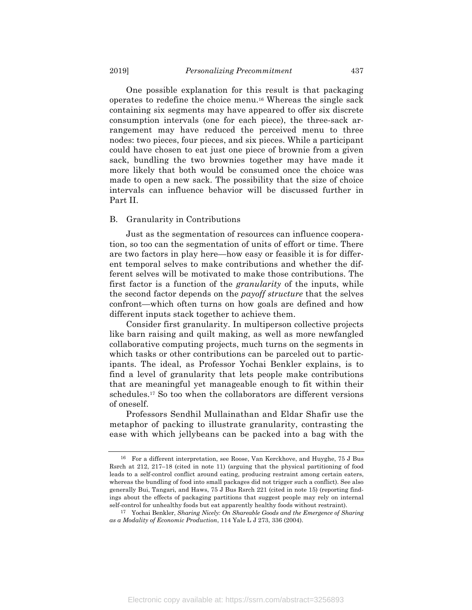One possible explanation for this result is that packaging operates to redefine the choice menu.16 Whereas the single sack containing six segments may have appeared to offer six discrete consumption intervals (one for each piece), the three-sack arrangement may have reduced the perceived menu to three nodes: two pieces, four pieces, and six pieces. While a participant could have chosen to eat just one piece of brownie from a given sack, bundling the two brownies together may have made it more likely that both would be consumed once the choice was made to open a new sack. The possibility that the size of choice intervals can influence behavior will be discussed further in Part II.

#### B. Granularity in Contributions

Just as the segmentation of resources can influence cooperation, so too can the segmentation of units of effort or time. There are two factors in play here—how easy or feasible it is for different temporal selves to make contributions and whether the different selves will be motivated to make those contributions. The first factor is a function of the *granularity* of the inputs, while the second factor depends on the *payoff structure* that the selves confront—which often turns on how goals are defined and how different inputs stack together to achieve them.

Consider first granularity. In multiperson collective projects like barn raising and quilt making, as well as more newfangled collaborative computing projects, much turns on the segments in which tasks or other contributions can be parceled out to participants. The ideal, as Professor Yochai Benkler explains, is to find a level of granularity that lets people make contributions that are meaningful yet manageable enough to fit within their schedules.17 So too when the collaborators are different versions of oneself.

Professors Sendhil Mullainathan and Eldar Shafir use the metaphor of packing to illustrate granularity, contrasting the ease with which jellybeans can be packed into a bag with the

<sup>16</sup> For a different interpretation, see Roose, Van Kerckhove, and Huyghe, 75 J Bus Rsrch at 212, 217–18 (cited in note 11) (arguing that the physical partitioning of food leads to a self-control conflict around eating, producing restraint among certain eaters, whereas the bundling of food into small packages did not trigger such a conflict). See also generally Bui, Tangari, and Haws, 75 J Bus Rsrch 221 (cited in note 15) (reporting findings about the effects of packaging partitions that suggest people may rely on internal self-control for unhealthy foods but eat apparently healthy foods without restraint).

<sup>17</sup> Yochai Benkler, *Sharing Nicely: On Shareable Goods and the Emergence of Sharing as a Modality of Economic Production*, 114 Yale L J 273, 336 (2004).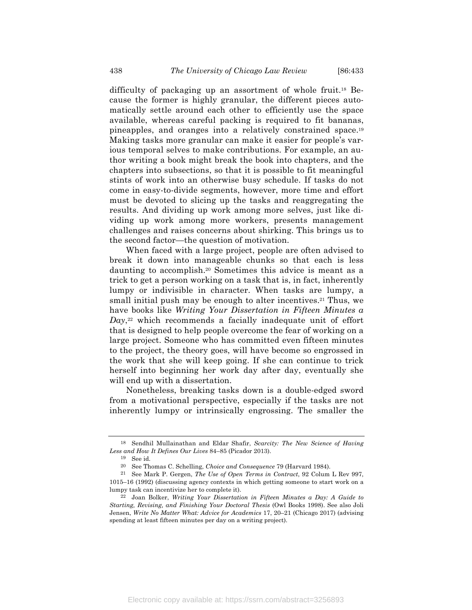difficulty of packaging up an assortment of whole fruit.18 Because the former is highly granular, the different pieces automatically settle around each other to efficiently use the space available, whereas careful packing is required to fit bananas, pineapples, and oranges into a relatively constrained space.19 Making tasks more granular can make it easier for people's various temporal selves to make contributions. For example, an author writing a book might break the book into chapters, and the chapters into subsections, so that it is possible to fit meaningful stints of work into an otherwise busy schedule. If tasks do not come in easy-to-divide segments, however, more time and effort must be devoted to slicing up the tasks and reaggregating the results. And dividing up work among more selves, just like dividing up work among more workers, presents management challenges and raises concerns about shirking. This brings us to the second factor—the question of motivation.

When faced with a large project, people are often advised to break it down into manageable chunks so that each is less daunting to accomplish.20 Sometimes this advice is meant as a trick to get a person working on a task that is, in fact, inherently lumpy or indivisible in character. When tasks are lumpy, a small initial push may be enough to alter incentives.<sup>21</sup> Thus, we have books like *Writing Your Dissertation in Fifteen Minutes a Day*,<sup>22</sup> which recommends a facially inadequate unit of effort that is designed to help people overcome the fear of working on a large project. Someone who has committed even fifteen minutes to the project, the theory goes, will have become so engrossed in the work that she will keep going. If she can continue to trick herself into beginning her work day after day, eventually she will end up with a dissertation.

Nonetheless, breaking tasks down is a double-edged sword from a motivational perspective, especially if the tasks are not inherently lumpy or intrinsically engrossing. The smaller the

<sup>18</sup> Sendhil Mullainathan and Eldar Shafir, *Scarcity: The New Science of Having Less and How It Defines Our Lives* 84–85 (Picador 2013).

<sup>19</sup> See id.

<sup>20</sup> See Thomas C. Schelling, *Choice and Consequence* 79 (Harvard 1984).

<sup>21</sup> See Mark P. Gergen, *The Use of Open Terms in Contract*, 92 Colum L Rev 997, 1015–16 (1992) (discussing agency contexts in which getting someone to start work on a lumpy task can incentivize her to complete it).

<sup>22</sup> Joan Bolker, *Writing Your Dissertation in Fifteen Minutes a Day: A Guide to Starting, Revising, and Finishing Your Doctoral Thesis* (Owl Books 1998). See also Joli Jensen, *Write No Matter What: Advice for Academics* 17, 20–21 (Chicago 2017) (advising spending at least fifteen minutes per day on a writing project).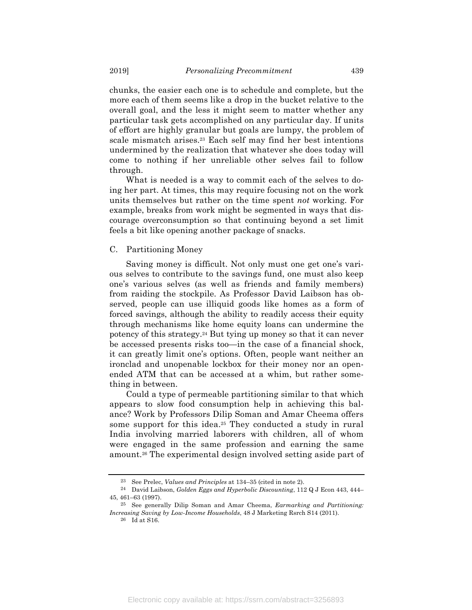chunks, the easier each one is to schedule and complete, but the more each of them seems like a drop in the bucket relative to the overall goal, and the less it might seem to matter whether any particular task gets accomplished on any particular day. If units of effort are highly granular but goals are lumpy, the problem of scale mismatch arises.23 Each self may find her best intentions undermined by the realization that whatever she does today will come to nothing if her unreliable other selves fail to follow through.

What is needed is a way to commit each of the selves to doing her part. At times, this may require focusing not on the work units themselves but rather on the time spent *not* working. For example, breaks from work might be segmented in ways that discourage overconsumption so that continuing beyond a set limit feels a bit like opening another package of snacks.

#### C. Partitioning Money

Saving money is difficult. Not only must one get one's various selves to contribute to the savings fund, one must also keep one's various selves (as well as friends and family members) from raiding the stockpile. As Professor David Laibson has observed, people can use illiquid goods like homes as a form of forced savings, although the ability to readily access their equity through mechanisms like home equity loans can undermine the potency of this strategy.24 But tying up money so that it can never be accessed presents risks too—in the case of a financial shock, it can greatly limit one's options. Often, people want neither an ironclad and unopenable lockbox for their money nor an openended ATM that can be accessed at a whim, but rather something in between.

Could a type of permeable partitioning similar to that which appears to slow food consumption help in achieving this balance? Work by Professors Dilip Soman and Amar Cheema offers some support for this idea.<sup>25</sup> They conducted a study in rural India involving married laborers with children, all of whom were engaged in the same profession and earning the same amount.26 The experimental design involved setting aside part of

<sup>23</sup> See Prelec, *Values and Principles* at 134–35 (cited in note 2).

<sup>24</sup> David Laibson, *Golden Eggs and Hyperbolic Discounting*, 112 Q J Econ 443, 444– 45, 461–63 (1997).

<sup>25</sup> See generally Dilip Soman and Amar Cheema, *Earmarking and Partitioning: Increasing Saving by Low-Income Households*, 48 J Marketing Rsrch S14 (2011).

<sup>26</sup> Id at S16.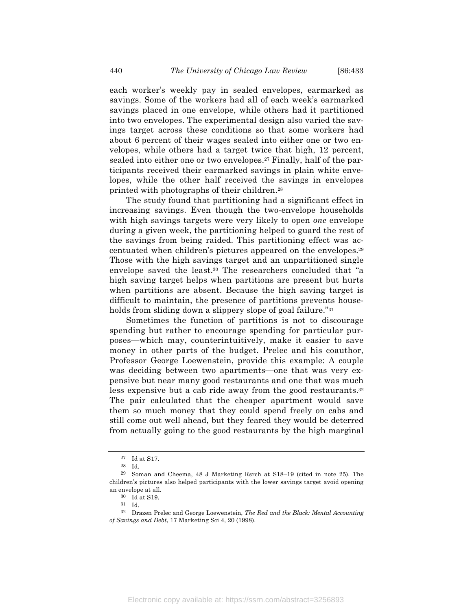each worker's weekly pay in sealed envelopes, earmarked as savings. Some of the workers had all of each week's earmarked savings placed in one envelope, while others had it partitioned into two envelopes. The experimental design also varied the savings target across these conditions so that some workers had about 6 percent of their wages sealed into either one or two envelopes, while others had a target twice that high, 12 percent, sealed into either one or two envelopes.27 Finally, half of the par-

lopes, while the other half received the savings in envelopes printed with photographs of their children.28 The study found that partitioning had a significant effect in increasing savings. Even though the two-envelope households with high savings targets were very likely to open *one* envelope during a given week, the partitioning helped to guard the rest of the savings from being raided. This partitioning effect was accentuated when children's pictures appeared on the envelopes.29 Those with the high savings target and an unpartitioned single envelope saved the least.30 The researchers concluded that "a

ticipants received their earmarked savings in plain white enve-

high saving target helps when partitions are present but hurts when partitions are absent. Because the high saving target is difficult to maintain, the presence of partitions prevents households from sliding down a slippery slope of goal failure."<sup>31</sup>

Sometimes the function of partitions is not to discourage spending but rather to encourage spending for particular purposes—which may, counterintuitively, make it easier to save money in other parts of the budget. Prelec and his coauthor, Professor George Loewenstein, provide this example: A couple was deciding between two apartments—one that was very expensive but near many good restaurants and one that was much less expensive but a cab ride away from the good restaurants.<sup>32</sup> The pair calculated that the cheaper apartment would save them so much money that they could spend freely on cabs and still come out well ahead, but they feared they would be deterred from actually going to the good restaurants by the high marginal

<sup>27</sup> Id at S17.

<sup>28</sup> Id.

<sup>29</sup> Soman and Cheema, 48 J Marketing Rsrch at S18–19 (cited in note 25). The children's pictures also helped participants with the lower savings target avoid opening an envelope at all.

<sup>30</sup> Id at S19.

<sup>31</sup> Id.

<sup>32</sup> Drazen Prelec and George Loewenstein, *The Red and the Black: Mental Accounting of Savings and Debt*, 17 Marketing Sci 4, 20 (1998).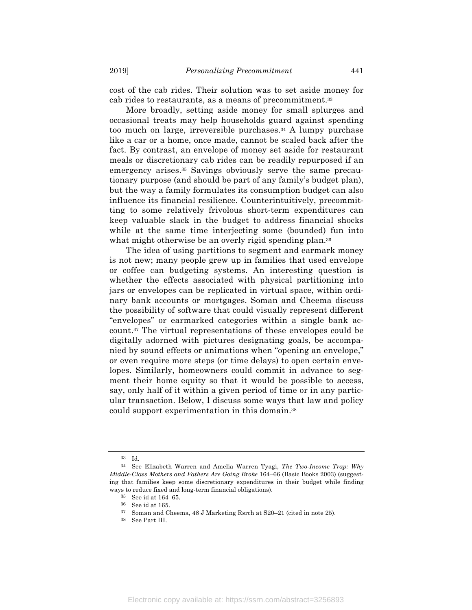cost of the cab rides. Their solution was to set aside money for cab rides to restaurants, as a means of precommitment.33

More broadly, setting aside money for small splurges and occasional treats may help households guard against spending too much on large, irreversible purchases.34 A lumpy purchase like a car or a home, once made, cannot be scaled back after the fact. By contrast, an envelope of money set aside for restaurant meals or discretionary cab rides can be readily repurposed if an emergency arises.35 Savings obviously serve the same precautionary purpose (and should be part of any family's budget plan), but the way a family formulates its consumption budget can also influence its financial resilience. Counterintuitively, precommitting to some relatively frivolous short-term expenditures can keep valuable slack in the budget to address financial shocks while at the same time interjecting some (bounded) fun into what might otherwise be an overly rigid spending plan.<sup>36</sup>

The idea of using partitions to segment and earmark money is not new; many people grew up in families that used envelope or coffee can budgeting systems. An interesting question is whether the effects associated with physical partitioning into jars or envelopes can be replicated in virtual space, within ordinary bank accounts or mortgages. Soman and Cheema discuss the possibility of software that could visually represent different "envelopes" or earmarked categories within a single bank account.37 The virtual representations of these envelopes could be digitally adorned with pictures designating goals, be accompanied by sound effects or animations when "opening an envelope," or even require more steps (or time delays) to open certain envelopes. Similarly, homeowners could commit in advance to segment their home equity so that it would be possible to access, say, only half of it within a given period of time or in any particular transaction. Below, I discuss some ways that law and policy could support experimentation in this domain.38

<sup>33</sup> Id.

<sup>34</sup> See Elizabeth Warren and Amelia Warren Tyagi, *The Two-Income Trap: Why Middle-Class Mothers and Fathers Are Going Broke* 164–66 (Basic Books 2003) (suggesting that families keep some discretionary expenditures in their budget while finding ways to reduce fixed and long-term financial obligations).

<sup>35</sup> See id at 164–65.

<sup>36</sup> See id at 165.

<sup>37</sup> Soman and Cheema, 48 J Marketing Rsrch at S20–21 (cited in note 25).

<sup>38</sup> See Part III.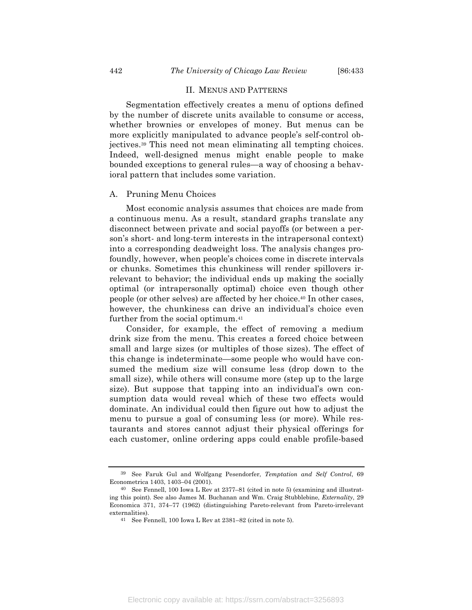#### II. MENUS AND PATTERNS

Segmentation effectively creates a menu of options defined by the number of discrete units available to consume or access, whether brownies or envelopes of money. But menus can be more explicitly manipulated to advance people's self-control objectives.39 This need not mean eliminating all tempting choices. Indeed, well-designed menus might enable people to make bounded exceptions to general rules—a way of choosing a behavioral pattern that includes some variation.

#### A. Pruning Menu Choices

Most economic analysis assumes that choices are made from a continuous menu. As a result, standard graphs translate any disconnect between private and social payoffs (or between a person's short- and long-term interests in the intrapersonal context) into a corresponding deadweight loss. The analysis changes profoundly, however, when people's choices come in discrete intervals or chunks. Sometimes this chunkiness will render spillovers irrelevant to behavior; the individual ends up making the socially optimal (or intrapersonally optimal) choice even though other people (or other selves) are affected by her choice.40 In other cases, however, the chunkiness can drive an individual's choice even further from the social optimum.41

Consider, for example, the effect of removing a medium drink size from the menu. This creates a forced choice between small and large sizes (or multiples of those sizes). The effect of this change is indeterminate—some people who would have consumed the medium size will consume less (drop down to the small size), while others will consume more (step up to the large size). But suppose that tapping into an individual's own consumption data would reveal which of these two effects would dominate. An individual could then figure out how to adjust the menu to pursue a goal of consuming less (or more). While restaurants and stores cannot adjust their physical offerings for each customer, online ordering apps could enable profile-based

<sup>39</sup> See Faruk Gul and Wolfgang Pesendorfer, *Temptation and Self Control*, 69 Econometrica 1403, 1403–04 (2001).

<sup>40</sup> See Fennell, 100 Iowa L Rev at 2377–81 (cited in note 5) (examining and illustrating this point). See also James M. Buchanan and Wm. Craig Stubblebine, *Externality*, 29 Economica 371, 374–77 (1962) (distinguishing Pareto-relevant from Pareto-irrelevant externalities).

<sup>41</sup> See Fennell, 100 Iowa L Rev at 2381–82 (cited in note 5).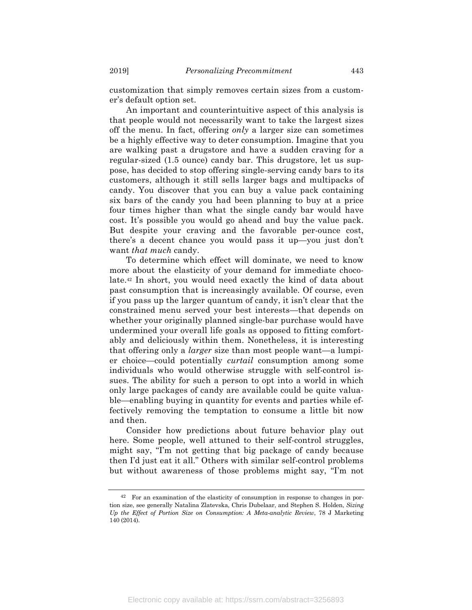customization that simply removes certain sizes from a customer's default option set.

An important and counterintuitive aspect of this analysis is that people would not necessarily want to take the largest sizes off the menu. In fact, offering *only* a larger size can sometimes be a highly effective way to deter consumption. Imagine that you are walking past a drugstore and have a sudden craving for a regular-sized (1.5 ounce) candy bar. This drugstore, let us suppose, has decided to stop offering single-serving candy bars to its customers, although it still sells larger bags and multipacks of candy. You discover that you can buy a value pack containing six bars of the candy you had been planning to buy at a price four times higher than what the single candy bar would have cost. It's possible you would go ahead and buy the value pack. But despite your craving and the favorable per-ounce cost, there's a decent chance you would pass it up—you just don't want *that much* candy.

To determine which effect will dominate, we need to know more about the elasticity of your demand for immediate chocolate.42 In short, you would need exactly the kind of data about past consumption that is increasingly available. Of course, even if you pass up the larger quantum of candy, it isn't clear that the constrained menu served your best interests—that depends on whether your originally planned single-bar purchase would have undermined your overall life goals as opposed to fitting comfortably and deliciously within them. Nonetheless, it is interesting that offering only a *larger* size than most people want—a lumpier choice—could potentially *curtail* consumption among some individuals who would otherwise struggle with self-control issues. The ability for such a person to opt into a world in which only large packages of candy are available could be quite valuable—enabling buying in quantity for events and parties while effectively removing the temptation to consume a little bit now and then.

Consider how predictions about future behavior play out here. Some people, well attuned to their self-control struggles, might say, "I'm not getting that big package of candy because then I'd just eat it all." Others with similar self-control problems but without awareness of those problems might say, "I'm not

<sup>42</sup> For an examination of the elasticity of consumption in response to changes in portion size, see generally Natalina Zlatevska, Chris Dubelaar, and Stephen S. Holden, *Sizing Up the Effect of Portion Size on Consumption: A Meta-analytic Review*, 78 J Marketing 140 (2014).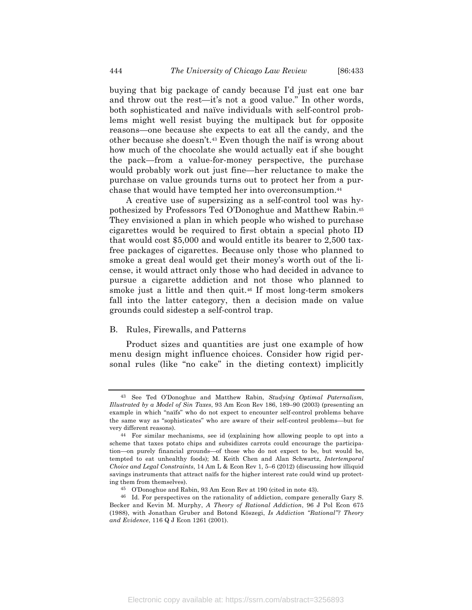buying that big package of candy because I'd just eat one bar and throw out the rest—it's not a good value." In other words, both sophisticated and naïve individuals with self-control problems might well resist buying the multipack but for opposite reasons—one because she expects to eat all the candy, and the other because she doesn't.43 Even though the naïf is wrong about how much of the chocolate she would actually eat if she bought the pack—from a value-for-money perspective, the purchase would probably work out just fine—her reluctance to make the purchase on value grounds turns out to protect her from a purchase that would have tempted her into overconsumption.44

A creative use of supersizing as a self-control tool was hypothesized by Professors Ted O'Donoghue and Matthew Rabin.45 They envisioned a plan in which people who wished to purchase cigarettes would be required to first obtain a special photo ID that would cost \$5,000 and would entitle its bearer to 2,500 taxfree packages of cigarettes. Because only those who planned to smoke a great deal would get their money's worth out of the license, it would attract only those who had decided in advance to pursue a cigarette addiction and not those who planned to smoke just a little and then quit.46 If most long-term smokers fall into the latter category, then a decision made on value grounds could sidestep a self-control trap.

#### B. Rules, Firewalls, and Patterns

Product sizes and quantities are just one example of how menu design might influence choices. Consider how rigid personal rules (like "no cake" in the dieting context) implicitly

<sup>43</sup> See Ted O'Donoghue and Matthew Rabin, *Studying Optimal Paternalism, Illustrated by a Model of Sin Taxes*, 93 Am Econ Rev 186, 189–90 (2003) (presenting an example in which "naïfs" who do not expect to encounter self-control problems behave the same way as "sophisticates" who are aware of their self-control problems—but for very different reasons).

<sup>44</sup> For similar mechanisms, see id (explaining how allowing people to opt into a scheme that taxes potato chips and subsidizes carrots could encourage the participation—on purely financial grounds—of those who do not expect to be, but would be, tempted to eat unhealthy foods); M. Keith Chen and Alan Schwartz, *Intertemporal Choice and Legal Constraints*, 14 Am L & Econ Rev 1, 5–6 (2012) (discussing how illiquid savings instruments that attract naïfs for the higher interest rate could wind up protecting them from themselves).

<sup>45</sup> O'Donoghue and Rabin, 93 Am Econ Rev at 190 (cited in note 43).

<sup>46</sup> Id. For perspectives on the rationality of addiction, compare generally Gary S. Becker and Kevin M. Murphy, *A Theory of Rational Addiction*, 96 J Pol Econ 675 (1988), with Jonathan Gruber and Botond Köszegi, *Is Addiction "Rational"? Theory and Evidence*, 116 Q J Econ 1261 (2001).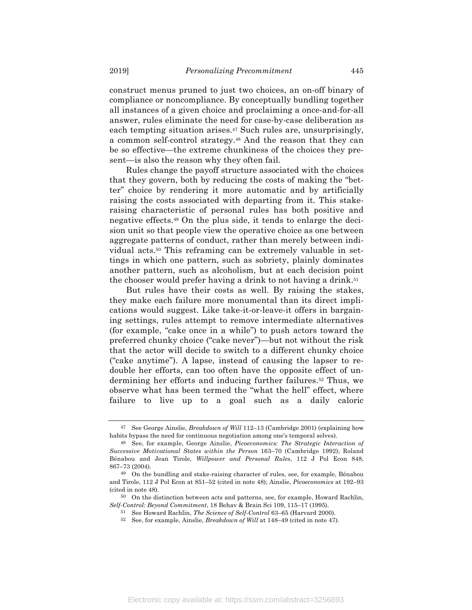construct menus pruned to just two choices, an on-off binary of compliance or noncompliance. By conceptually bundling together all instances of a given choice and proclaiming a once-and-for-all answer, rules eliminate the need for case-by-case deliberation as each tempting situation arises.47 Such rules are, unsurprisingly, a common self-control strategy.48 And the reason that they can be so effective—the extreme chunkiness of the choices they present—is also the reason why they often fail.

Rules change the payoff structure associated with the choices that they govern, both by reducing the costs of making the "better" choice by rendering it more automatic and by artificially raising the costs associated with departing from it. This stakeraising characteristic of personal rules has both positive and negative effects.49 On the plus side, it tends to enlarge the decision unit so that people view the operative choice as one between aggregate patterns of conduct, rather than merely between individual acts.50 This reframing can be extremely valuable in settings in which one pattern, such as sobriety, plainly dominates another pattern, such as alcoholism, but at each decision point the chooser would prefer having a drink to not having a drink.<sup>51</sup>

But rules have their costs as well. By raising the stakes, they make each failure more monumental than its direct implications would suggest. Like take-it-or-leave-it offers in bargaining settings, rules attempt to remove intermediate alternatives (for example, "cake once in a while") to push actors toward the preferred chunky choice ("cake never")—but not without the risk that the actor will decide to switch to a different chunky choice ("cake anytime"). A lapse, instead of causing the lapser to redouble her efforts, can too often have the opposite effect of undermining her efforts and inducing further failures.52 Thus, we observe what has been termed the "what the hell" effect, where failure to live up to a goal such as a daily caloric

<sup>47</sup> See George Ainslie, *Breakdown of Will* 112–13 (Cambridge 2001) (explaining how habits bypass the need for continuous negotiation among one's temporal selves).

<sup>48</sup> See, for example, George Ainslie, *Picoeconomics: The Strategic Interaction of Successive Motivational States within the Person* 163–70 (Cambridge 1992); Roland Bénabou and Jean Tirole, *Willpower and Personal Rules*, 112 J Pol Econ 848, 867–73 (2004).

<sup>49</sup> On the bundling and stake-raising character of rules, see, for example, Bénabou and Tirole, 112 J Pol Econ at 851–52 (cited in note 48); Ainslie, *Picoeconomics* at 192–93 (cited in note 48).

<sup>50</sup> On the distinction between acts and patterns, see, for example, Howard Rachlin, *Self-Control: Beyond Commitment*, 18 Behav & Brain Sci 109, 115–17 (1995).

<sup>51</sup> See Howard Rachlin, *The Science of Self-Control* 63–65 (Harvard 2000).

<sup>52</sup> See, for example, Ainslie, *Breakdown of Will* at 148–49 (cited in note 47).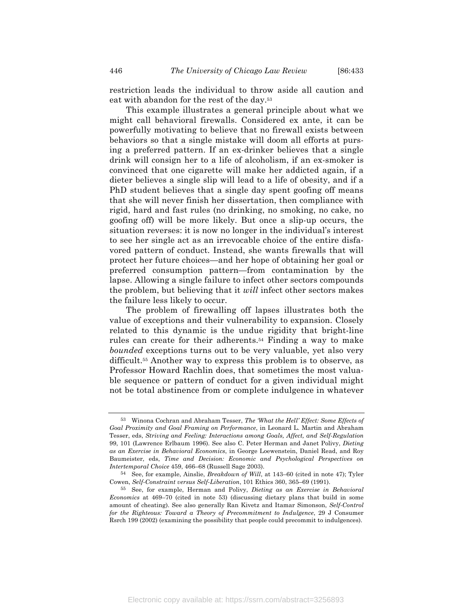restriction leads the individual to throw aside all caution and eat with abandon for the rest of the day.53

This example illustrates a general principle about what we might call behavioral firewalls. Considered ex ante, it can be powerfully motivating to believe that no firewall exists between behaviors so that a single mistake will doom all efforts at pursing a preferred pattern. If an ex-drinker believes that a single drink will consign her to a life of alcoholism, if an ex-smoker is convinced that one cigarette will make her addicted again, if a dieter believes a single slip will lead to a life of obesity, and if a PhD student believes that a single day spent goofing off means that she will never finish her dissertation, then compliance with rigid, hard and fast rules (no drinking, no smoking, no cake, no goofing off) will be more likely. But once a slip-up occurs, the situation reverses: it is now no longer in the individual's interest to see her single act as an irrevocable choice of the entire disfavored pattern of conduct. Instead, she wants firewalls that will protect her future choices—and her hope of obtaining her goal or preferred consumption pattern—from contamination by the lapse. Allowing a single failure to infect other sectors compounds the problem, but believing that it *will* infect other sectors makes the failure less likely to occur.

The problem of firewalling off lapses illustrates both the value of exceptions and their vulnerability to expansion. Closely related to this dynamic is the undue rigidity that bright-line rules can create for their adherents.54 Finding a way to make *bounded* exceptions turns out to be very valuable, yet also very difficult.55 Another way to express this problem is to observe, as Professor Howard Rachlin does, that sometimes the most valuable sequence or pattern of conduct for a given individual might not be total abstinence from or complete indulgence in whatever

<sup>53</sup> Winona Cochran and Abraham Tesser, *The 'What the Hell' Effect: Some Effects of Goal Proximity and Goal Framing on Performance*, in Leonard L. Martin and Abraham Tesser, eds, *Striving and Feeling: Interactions among Goals, Affect, and Self-Regulation* 99, 101 (Lawrence Erlbaum 1996). See also C. Peter Herman and Janet Polivy, *Dieting as an Exercise in Behavioral Economics*, in George Loewenstein, Daniel Read, and Roy Baumeister, eds, *Time and Decision: Economic and Psychological Perspectives on Intertemporal Choice* 459, 466–68 (Russell Sage 2003).

<sup>54</sup> See, for example, Ainslie, *Breakdown of Will*, at 143–60 (cited in note 47); Tyler Cowen, *Self-Constraint versus Self-Liberation*, 101 Ethics 360, 365–69 (1991).

<sup>55</sup> See, for example, Herman and Polivy, *Dieting as an Exercise in Behavioral Economics* at 469–70 (cited in note 53) (discussing dietary plans that build in some amount of cheating). See also generally Ran Kivetz and Itamar Simonson, *Self-Control for the Righteous: Toward a Theory of Precommitment to Indulgence*, 29 J Consumer Rsrch 199 (2002) (examining the possibility that people could precommit to indulgences).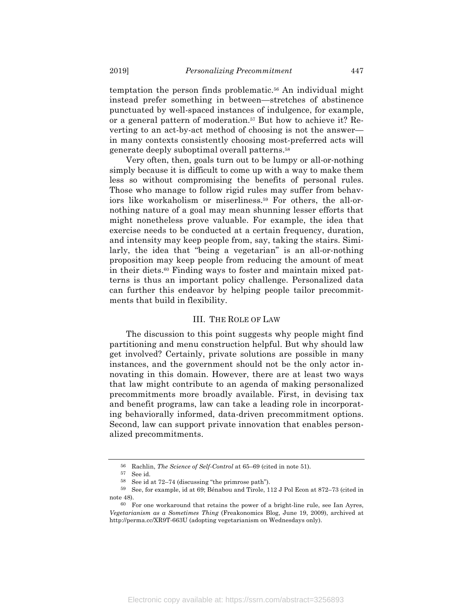temptation the person finds problematic.56 An individual might instead prefer something in between—stretches of abstinence punctuated by well-spaced instances of indulgence, for example, or a general pattern of moderation.57 But how to achieve it? Reverting to an act-by-act method of choosing is not the answer in many contexts consistently choosing most-preferred acts will generate deeply suboptimal overall patterns.58

Very often, then, goals turn out to be lumpy or all-or-nothing simply because it is difficult to come up with a way to make them less so without compromising the benefits of personal rules. Those who manage to follow rigid rules may suffer from behaviors like workaholism or miserliness.59 For others, the all-ornothing nature of a goal may mean shunning lesser efforts that might nonetheless prove valuable. For example, the idea that exercise needs to be conducted at a certain frequency, duration, and intensity may keep people from, say, taking the stairs. Similarly, the idea that "being a vegetarian" is an all-or-nothing proposition may keep people from reducing the amount of meat in their diets.60 Finding ways to foster and maintain mixed patterns is thus an important policy challenge. Personalized data can further this endeavor by helping people tailor precommitments that build in flexibility.

#### III. THE ROLE OF LAW

The discussion to this point suggests why people might find partitioning and menu construction helpful. But why should law get involved? Certainly, private solutions are possible in many instances, and the government should not be the only actor innovating in this domain. However, there are at least two ways that law might contribute to an agenda of making personalized precommitments more broadly available. First, in devising tax and benefit programs, law can take a leading role in incorporating behaviorally informed, data-driven precommitment options. Second, law can support private innovation that enables personalized precommitments.

<sup>56</sup> Rachlin, *The Science of Self-Control* at 65–69 (cited in note 51).

<sup>57</sup> See id.

<sup>58</sup> See id at 72–74 (discussing "the primrose path").

<sup>59</sup> See, for example, id at 69; Bénabou and Tirole, 112 J Pol Econ at 872–73 (cited in note 48).

<sup>60</sup> For one workaround that retains the power of a bright-line rule, see Ian Ayres, *Vegetarianism as a Sometimes Thing* (Freakonomics Blog, June 19, 2009), archived at http://perma.cc/XR9T-663U (adopting vegetarianism on Wednesdays only).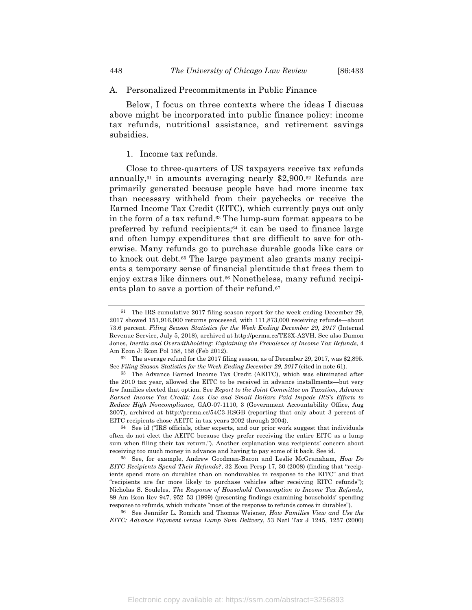#### A. Personalized Precommitments in Public Finance

Below, I focus on three contexts where the ideas I discuss above might be incorporated into public finance policy: income tax refunds, nutritional assistance, and retirement savings subsidies.

#### 1. Income tax refunds.

Close to three-quarters of US taxpayers receive tax refunds annually,<sup> $61$ </sup> in amounts averaging nearly \$2,900.<sup> $62$ </sup> Refunds are primarily generated because people have had more income tax than necessary withheld from their paychecks or receive the Earned Income Tax Credit (EITC), which currently pays out only in the form of a tax refund.<sup>63</sup> The lump-sum format appears to be preferred by refund recipients;<sup>64</sup> it can be used to finance large and often lumpy expenditures that are difficult to save for otherwise. Many refunds go to purchase durable goods like cars or to knock out debt.65 The large payment also grants many recipients a temporary sense of financial plentitude that frees them to enjoy extras like dinners out.<sup>66</sup> Nonetheless, many refund recipients plan to save a portion of their refund.67

<sup>61</sup> The IRS cumulative 2017 filing season report for the week ending December 29, 2017 showed 151,916,000 returns processed, with 111,873,000 receiving refunds—about 73.6 percent. *Filing Season Statistics for the Week Ending December 29, 2017* (Internal Revenue Service, July 5, 2018), archived at http://perma.cc/TE3X-A2VH. See also Damon Jones, *Inertia and Overwithholding: Explaining the Prevalence of Income Tax Refunds*, 4 Am Econ J: Econ Pol 158, 158 (Feb 2012).

<sup>62</sup> The average refund for the 2017 filing season, as of December 29, 2017, was \$2,895. See *Filing Season Statistics for the Week Ending December 29, 2017* (cited in note 61).

<sup>63</sup> The Advance Earned Income Tax Credit (AEITC), which was eliminated after the 2010 tax year, allowed the EITC to be received in advance installments—but very few families elected that option. See *Report to the Joint Committee on Taxation, Advance Earned Income Tax Credit: Low Use and Small Dollars Paid Impede IRS's Efforts to Reduce High Noncompliance*, GAO-07-1110, 3 (Government Accountability Office, Aug 2007), archived at http://perma.cc/54C3-HSGB (reporting that only about 3 percent of EITC recipients chose AEITC in tax years 2002 through 2004).

<sup>64</sup> See id ("IRS officials, other experts, and our prior work suggest that individuals often do not elect the AEITC because they prefer receiving the entire EITC as a lump sum when filing their tax return."). Another explanation was recipients' concern about receiving too much money in advance and having to pay some of it back. See id.

<sup>65</sup> See, for example, Andrew Goodman-Bacon and Leslie McGranaham, *How Do EITC Recipients Spend Their Refunds?*, 32 Econ Persp 17, 30 (2008) (finding that "recipients spend more on durables than on nondurables in response to the EITC" and that "recipients are far more likely to purchase vehicles after receiving EITC refunds"); Nicholas S. Souleles, *The Response of Household Consumption to Income Tax Refunds*, 89 Am Econ Rev 947, 952–53 (1999) (presenting findings examining households' spending response to refunds, which indicate "most of the response to refunds comes in durables").

<sup>66</sup> See Jennifer L. Romich and Thomas Weisner, *How Families View and Use the EITC: Advance Payment versus Lump Sum Delivery*, 53 Natl Tax J 1245, 1257 (2000)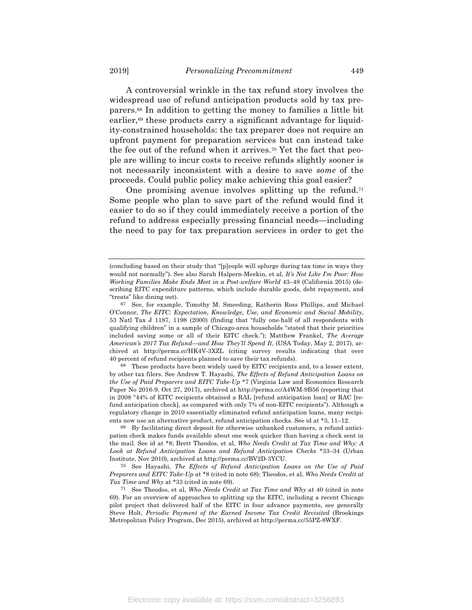A controversial wrinkle in the tax refund story involves the widespread use of refund anticipation products sold by tax preparers.68 In addition to getting the money to families a little bit earlier,<sup>69</sup> these products carry a significant advantage for liquidity-constrained households: the tax preparer does not require an upfront payment for preparation services but can instead take the fee out of the refund when it arrives.70 Yet the fact that people are willing to incur costs to receive refunds slightly sooner is not necessarily inconsistent with a desire to save *some* of the proceeds. Could public policy make achieving this goal easier?

One promising avenue involves splitting up the refund.<sup>71</sup> Some people who plan to save part of the refund would find it easier to do so if they could immediately receive a portion of the refund to address especially pressing financial needs—including the need to pay for tax preparation services in order to get the

68 These products have been widely used by EITC recipients and, to a lesser extent, by other tax filers. See Andrew T. Hayashi, *The Effects of Refund Anticipation Loans on the Use of Paid Preparers and EITC Take-Up* \*7 (Virginia Law and Economics Research Paper No 2016-9, Oct 27, 2017), archived at http://perma.cc/A4WM-9B56 (reporting that in 2008 "44% of EITC recipients obtained a RAL [refund anticipation loan] or RAC [refund anticipation check], as compared with only 7% of non-EITC recipients"). Although a regulatory change in 2010 essentially eliminated refund anticipation loans, many recipients now use an alternative product, refund anticipation checks. See id at \*3, 11–12.

69 By facilitating direct deposit for otherwise unbanked customers, a refund anticipation check makes funds available about one week quicker than having a check sent in the mail. See id at \*8; Brett Theodos, et al, *Who Needs Credit at Tax Time and Why: A Look at Refund Anticipation Loans and Refund Anticipation Checks* \*33–34 (Urban Institute, Nov 2010), archived at http://perma.cc/BV2D-3YCU.

70 See Hayashi, *The Effects of Refund Anticipation Loans on the Use of Paid Preparers and EITC Take-Up* at \*8 (cited in note 68); Theodos, et al, *Who Needs Credit at Tax Time and Why* at \*33 (cited in note 69).

<sup>(</sup>concluding based on their study that "[p]eople will splurge during tax time in ways they would not normally"). See also Sarah Halpern-Meekin, et al, *It's Not Like I'm Poor: How Working Families Make Ends Meet in a Post-welfare World* 43–48 (California 2015) (describing EITC expenditure patterns, which include durable goods, debt repayment, and "treats" like dining out).

<sup>67</sup> See, for example, Timothy M. Smeeding, Katherin Ross Phillips, and Michael O'Connor, *The EITC: Expectation, Knowledge, Use, and Economic and Social Mobility*, 53 Natl Tax J 1187, 1198 (2000) (finding that "fully one-half of all respondents with qualifying children" in a sample of Chicago-area households "stated that their priorities included saving some or all of their EITC check."); Matthew Frankel, *The Average American's 2017 Tax Refund—and How They'll Spend It*, (USA Today, May 2, 2017), archived at http://perma.cc/HK4V-3XZL (citing survey results indicating that over 40 percent of refund recipients planned to save their tax refunds).

<sup>71</sup> See Theodos, et al, *Who Needs Credit at Tax Time and Why* at 40 (cited in note 69). For an overview of approaches to splitting up the EITC, including a recent Chicago pilot project that delivered half of the EITC in four advance payments, see generally Steve Holt, *Periodic Payment of the Earned Income Tax Credit Revisited* (Brookings Metropolitan Policy Program, Dec 2015), archived at http://perma.cc/55PZ-8WXF.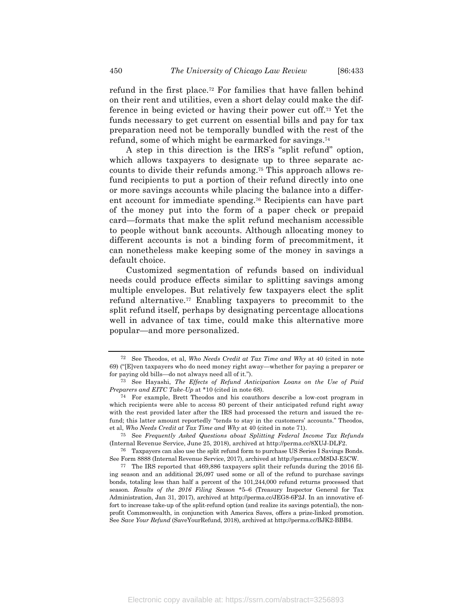refund in the first place.72 For families that have fallen behind on their rent and utilities, even a short delay could make the difference in being evicted or having their power cut off.73 Yet the funds necessary to get current on essential bills and pay for tax preparation need not be temporally bundled with the rest of the refund, some of which might be earmarked for savings.74

A step in this direction is the IRS's "split refund" option, which allows taxpayers to designate up to three separate accounts to divide their refunds among.75 This approach allows refund recipients to put a portion of their refund directly into one or more savings accounts while placing the balance into a different account for immediate spending.76 Recipients can have part of the money put into the form of a paper check or prepaid card—formats that make the split refund mechanism accessible to people without bank accounts. Although allocating money to different accounts is not a binding form of precommitment, it can nonetheless make keeping some of the money in savings a default choice.

Customized segmentation of refunds based on individual needs could produce effects similar to splitting savings among multiple envelopes. But relatively few taxpayers elect the split refund alternative.77 Enabling taxpayers to precommit to the split refund itself, perhaps by designating percentage allocations well in advance of tax time, could make this alternative more popular—and more personalized.

<sup>72</sup> See Theodos, et al, *Who Needs Credit at Tax Time and Why* at 40 (cited in note 69) ("[E]ven taxpayers who do need money right away—whether for paying a preparer or for paying old bills—do not always need all of it.").

<sup>73</sup> See Hayashi, *The Effects of Refund Anticipation Loans on the Use of Paid Preparers and EITC Take-Up* at \*10 (cited in note 68).

<sup>74</sup> For example, Brett Theodos and his coauthors describe a low-cost program in which recipients were able to access 80 percent of their anticipated refund right away with the rest provided later after the IRS had processed the return and issued the refund; this latter amount reportedly "tends to stay in the customers' accounts." Theodos, et al, *Who Needs Credit at Tax Time and Why* at 40 (cited in note 71).

<sup>75</sup> See *Frequently Asked Questions about Splitting Federal Income Tax Refunds* (Internal Revenue Service, June 25, 2018), archived at http://perma.cc/8XUJ-DLF2.

<sup>76</sup> Taxpayers can also use the split refund form to purchase US Series I Savings Bonds. See Form 8888 (Internal Revenue Service, 2017), archived at http://perma.cc/M8DJ-E5CW.

<sup>77</sup> The IRS reported that 469,886 taxpayers split their refunds during the 2016 filing season and an additional 26,097 used some or all of the refund to purchase savings bonds, totaling less than half a percent of the 101,244,000 refund returns processed that season. *Results of the 2016 Filing Season* \*5–6 (Treasury Inspector General for Tax Administration, Jan 31, 2017), archived at http://perma.cc/JEG8-6F2J. In an innovative effort to increase take-up of the split-refund option (and realize its savings potential), the nonprofit Commonwealth, in conjunction with America Saves, offers a prize-linked promotion. See *Save Your Refund* (SaveYourRefund, 2018), archived at http://perma.cc/BJK2-BBB4.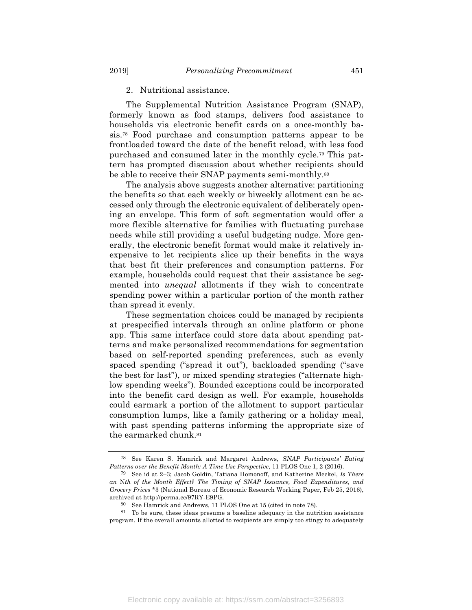#### 2. Nutritional assistance.

The Supplemental Nutrition Assistance Program (SNAP), formerly known as food stamps, delivers food assistance to households via electronic benefit cards on a once-monthly basis.78 Food purchase and consumption patterns appear to be frontloaded toward the date of the benefit reload, with less food purchased and consumed later in the monthly cycle.79 This pattern has prompted discussion about whether recipients should be able to receive their SNAP payments semi-monthly.80

The analysis above suggests another alternative: partitioning the benefits so that each weekly or biweekly allotment can be accessed only through the electronic equivalent of deliberately opening an envelope. This form of soft segmentation would offer a more flexible alternative for families with fluctuating purchase needs while still providing a useful budgeting nudge. More generally, the electronic benefit format would make it relatively inexpensive to let recipients slice up their benefits in the ways that best fit their preferences and consumption patterns. For example, households could request that their assistance be segmented into *unequal* allotments if they wish to concentrate spending power within a particular portion of the month rather than spread it evenly.

These segmentation choices could be managed by recipients at prespecified intervals through an online platform or phone app. This same interface could store data about spending patterns and make personalized recommendations for segmentation based on self-reported spending preferences, such as evenly spaced spending ("spread it out"), backloaded spending ("save the best for last"), or mixed spending strategies ("alternate highlow spending weeks"). Bounded exceptions could be incorporated into the benefit card design as well. For example, households could earmark a portion of the allotment to support particular consumption lumps, like a family gathering or a holiday meal, with past spending patterns informing the appropriate size of the earmarked chunk.81

<sup>78</sup> See Karen S. Hamrick and Margaret Andrews, *SNAP Participants' Eating Patterns over the Benefit Month: A Time Use Perspective*, 11 PLOS One 1, 2 (2016).

<sup>79</sup> See id at 2–3; Jacob Goldin, Tatiana Homonoff, and Katherine Meckel, *Is There an* N*th of the Month Effect? The Timing of SNAP Issuance, Food Expenditures, and Grocery Prices* \*3 (National Bureau of Economic Research Working Paper, Feb 25, 2016), archived at http://perma.cc/97RY-E9PG.

<sup>80</sup> See Hamrick and Andrews, 11 PLOS One at 15 (cited in note 78).

<sup>81</sup> To be sure, these ideas presume a baseline adequacy in the nutrition assistance program. If the overall amounts allotted to recipients are simply too stingy to adequately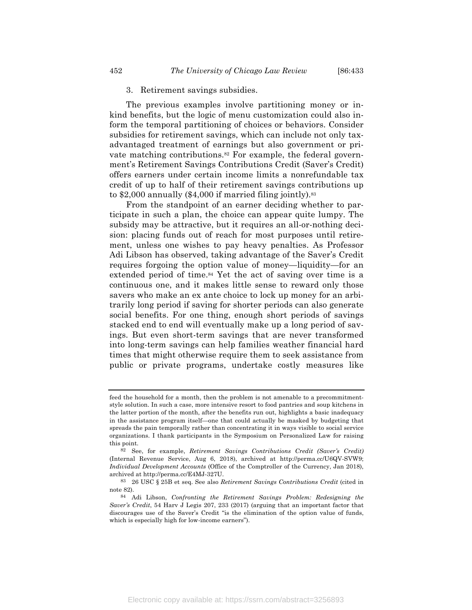#### 3. Retirement savings subsidies.

The previous examples involve partitioning money or inkind benefits, but the logic of menu customization could also inform the temporal partitioning of choices or behaviors. Consider subsidies for retirement savings, which can include not only taxadvantaged treatment of earnings but also government or private matching contributions.<sup>82</sup> For example, the federal government's Retirement Savings Contributions Credit (Saver's Credit) offers earners under certain income limits a nonrefundable tax credit of up to half of their retirement savings contributions up to  $$2,000$  annually  $$4,000$  if married filing jointly).<sup>83</sup>

From the standpoint of an earner deciding whether to participate in such a plan, the choice can appear quite lumpy. The subsidy may be attractive, but it requires an all-or-nothing decision: placing funds out of reach for most purposes until retirement, unless one wishes to pay heavy penalties. As Professor Adi Libson has observed, taking advantage of the Saver's Credit requires forgoing the option value of money—liquidity—for an extended period of time.<sup>84</sup> Yet the act of saving over time is a continuous one, and it makes little sense to reward only those savers who make an ex ante choice to lock up money for an arbitrarily long period if saving for shorter periods can also generate social benefits. For one thing, enough short periods of savings stacked end to end will eventually make up a long period of savings. But even short-term savings that are never transformed into long-term savings can help families weather financial hard times that might otherwise require them to seek assistance from public or private programs, undertake costly measures like

feed the household for a month, then the problem is not amenable to a precommitmentstyle solution. In such a case, more intensive resort to food pantries and soup kitchens in the latter portion of the month, after the benefits run out, highlights a basic inadequacy in the assistance program itself—one that could actually be masked by budgeting that spreads the pain temporally rather than concentrating it in ways visible to social service organizations. I thank participants in the Symposium on Personalized Law for raising this point.

<sup>82</sup> See, for example, *Retirement Savings Contributions Credit (Saver's Credit)* (Internal Revenue Service, Aug 6, 2018), archived at http://perma.cc/U6QV-SVW9; *Individual Development Accounts* (Office of the Comptroller of the Currency, Jan 2018), archived at http://perma.cc/E4MJ-327U.

<sup>83</sup> 26 USC § 25B et seq. See also *Retirement Savings Contributions Credit* (cited in note 82).

<sup>84</sup> Adi Libson, *Confronting the Retirement Savings Problem: Redesigning the Saver's Credit*, 54 Harv J Legis 207, 233 (2017) (arguing that an important factor that discourages use of the Saver's Credit "is the elimination of the option value of funds, which is especially high for low-income earners").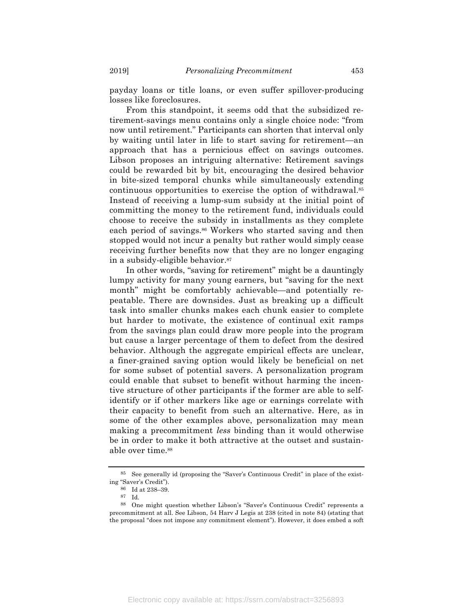payday loans or title loans, or even suffer spillover-producing losses like foreclosures.

From this standpoint, it seems odd that the subsidized retirement-savings menu contains only a single choice node: "from now until retirement." Participants can shorten that interval only by waiting until later in life to start saving for retirement—an approach that has a pernicious effect on savings outcomes. Libson proposes an intriguing alternative: Retirement savings could be rewarded bit by bit, encouraging the desired behavior in bite-sized temporal chunks while simultaneously extending continuous opportunities to exercise the option of withdrawal.85 Instead of receiving a lump-sum subsidy at the initial point of committing the money to the retirement fund, individuals could choose to receive the subsidy in installments as they complete each period of savings.<sup>86</sup> Workers who started saving and then stopped would not incur a penalty but rather would simply cease receiving further benefits now that they are no longer engaging in a subsidy-eligible behavior.87

In other words, "saving for retirement" might be a dauntingly lumpy activity for many young earners, but "saving for the next month" might be comfortably achievable—and potentially repeatable. There are downsides. Just as breaking up a difficult task into smaller chunks makes each chunk easier to complete but harder to motivate, the existence of continual exit ramps from the savings plan could draw more people into the program but cause a larger percentage of them to defect from the desired behavior. Although the aggregate empirical effects are unclear, a finer-grained saving option would likely be beneficial on net for some subset of potential savers. A personalization program could enable that subset to benefit without harming the incentive structure of other participants if the former are able to selfidentify or if other markers like age or earnings correlate with their capacity to benefit from such an alternative. Here, as in some of the other examples above, personalization may mean making a precommitment *less* binding than it would otherwise be in order to make it both attractive at the outset and sustainable over time.88

<sup>85</sup> See generally id (proposing the "Saver's Continuous Credit" in place of the existing "Saver's Credit").

<sup>86</sup> Id at 238–39.

<sup>87</sup> Id.

<sup>88</sup> One might question whether Libson's "Saver's Continuous Credit" represents a precommitment at all. See Libson, 54 Harv J Legis at 238 (cited in note 84) (stating that the proposal "does not impose any commitment element"). However, it does embed a soft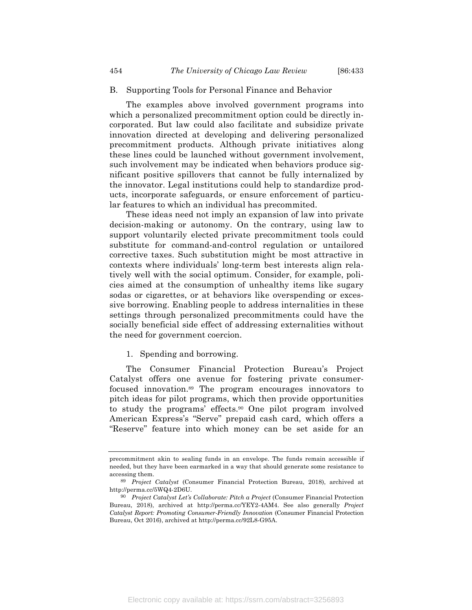#### B. Supporting Tools for Personal Finance and Behavior

The examples above involved government programs into which a personalized precommitment option could be directly incorporated. But law could also facilitate and subsidize private innovation directed at developing and delivering personalized precommitment products. Although private initiatives along these lines could be launched without government involvement, such involvement may be indicated when behaviors produce significant positive spillovers that cannot be fully internalized by the innovator. Legal institutions could help to standardize products, incorporate safeguards, or ensure enforcement of particular features to which an individual has precommited.

These ideas need not imply an expansion of law into private decision-making or autonomy. On the contrary, using law to support voluntarily elected private precommitment tools could substitute for command-and-control regulation or untailored corrective taxes. Such substitution might be most attractive in contexts where individuals' long-term best interests align relatively well with the social optimum. Consider, for example, policies aimed at the consumption of unhealthy items like sugary sodas or cigarettes, or at behaviors like overspending or excessive borrowing. Enabling people to address internalities in these settings through personalized precommitments could have the socially beneficial side effect of addressing externalities without the need for government coercion.

#### 1. Spending and borrowing.

The Consumer Financial Protection Bureau's Project Catalyst offers one avenue for fostering private consumerfocused innovation.89 The program encourages innovators to pitch ideas for pilot programs, which then provide opportunities to study the programs' effects.90 One pilot program involved American Express's "Serve" prepaid cash card, which offers a "Reserve" feature into which money can be set aside for an

precommitment akin to sealing funds in an envelope. The funds remain accessible if needed, but they have been earmarked in a way that should generate some resistance to accessing them.

<sup>89</sup> *Project Catalyst* (Consumer Financial Protection Bureau, 2018), archived at http://perma.cc/5WQ4-2D6U.

<sup>90</sup> *Project Catalyst Let's Collaborate: Pitch a Project* (Consumer Financial Protection Bureau, 2018), archived at http://perma.cc/YEY2-4AM4. See also generally *Project Catalyst Report: Promoting Consumer-Friendly Innovation* (Consumer Financial Protection Bureau, Oct 2016), archived at http://perma.cc/92L8-G95A.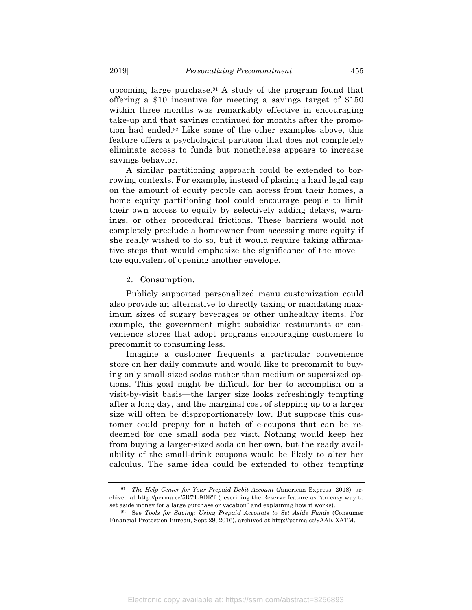upcoming large purchase.91 A study of the program found that offering a \$10 incentive for meeting a savings target of \$150 within three months was remarkably effective in encouraging take-up and that savings continued for months after the promotion had ended.92 Like some of the other examples above, this feature offers a psychological partition that does not completely eliminate access to funds but nonetheless appears to increase savings behavior.

A similar partitioning approach could be extended to borrowing contexts. For example, instead of placing a hard legal cap on the amount of equity people can access from their homes, a home equity partitioning tool could encourage people to limit their own access to equity by selectively adding delays, warnings, or other procedural frictions. These barriers would not completely preclude a homeowner from accessing more equity if she really wished to do so, but it would require taking affirmative steps that would emphasize the significance of the move the equivalent of opening another envelope.

#### 2. Consumption.

Publicly supported personalized menu customization could also provide an alternative to directly taxing or mandating maximum sizes of sugary beverages or other unhealthy items. For example, the government might subsidize restaurants or convenience stores that adopt programs encouraging customers to precommit to consuming less.

Imagine a customer frequents a particular convenience store on her daily commute and would like to precommit to buying only small-sized sodas rather than medium or supersized options. This goal might be difficult for her to accomplish on a visit-by-visit basis—the larger size looks refreshingly tempting after a long day, and the marginal cost of stepping up to a larger size will often be disproportionately low. But suppose this customer could prepay for a batch of e-coupons that can be redeemed for one small soda per visit. Nothing would keep her from buying a larger-sized soda on her own, but the ready availability of the small-drink coupons would be likely to alter her calculus. The same idea could be extended to other tempting

<sup>91</sup> *The Help Center for Your Prepaid Debit Account* (American Express, 2018), archived at http://perma.cc/5R7T-9DRT (describing the Reserve feature as "an easy way to set aside money for a large purchase or vacation" and explaining how it works).

<sup>92</sup> See *Tools for Saving: Using Prepaid Accounts to Set Aside Funds* (Consumer Financial Protection Bureau, Sept 29, 2016), archived at http://perma.cc/9AAR-XATM.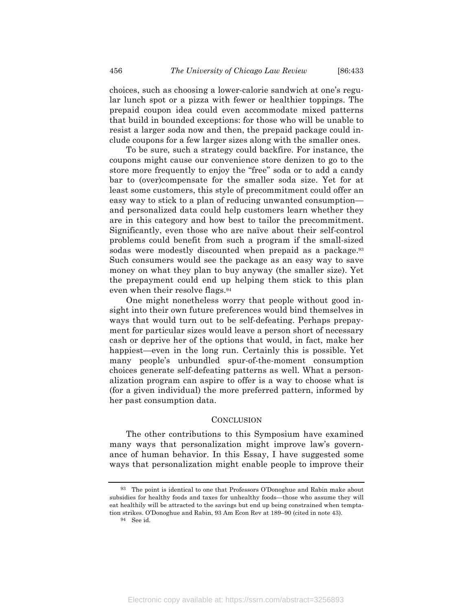choices, such as choosing a lower-calorie sandwich at one's regular lunch spot or a pizza with fewer or healthier toppings. The prepaid coupon idea could even accommodate mixed patterns that build in bounded exceptions: for those who will be unable to resist a larger soda now and then, the prepaid package could include coupons for a few larger sizes along with the smaller ones.

To be sure, such a strategy could backfire. For instance, the coupons might cause our convenience store denizen to go to the store more frequently to enjoy the "free" soda or to add a candy bar to (over)compensate for the smaller soda size. Yet for at least some customers, this style of precommitment could offer an easy way to stick to a plan of reducing unwanted consumption and personalized data could help customers learn whether they are in this category and how best to tailor the precommitment. Significantly, even those who are naïve about their self-control problems could benefit from such a program if the small-sized sodas were modestly discounted when prepaid as a package.<sup>93</sup> Such consumers would see the package as an easy way to save money on what they plan to buy anyway (the smaller size). Yet the prepayment could end up helping them stick to this plan even when their resolve flags.94

One might nonetheless worry that people without good insight into their own future preferences would bind themselves in ways that would turn out to be self-defeating. Perhaps prepayment for particular sizes would leave a person short of necessary cash or deprive her of the options that would, in fact, make her happiest—even in the long run. Certainly this is possible. Yet many people's unbundled spur-of-the-moment consumption choices generate self-defeating patterns as well. What a personalization program can aspire to offer is a way to choose what is (for a given individual) the more preferred pattern, informed by her past consumption data.

#### **CONCLUSION**

The other contributions to this Symposium have examined many ways that personalization might improve law's governance of human behavior. In this Essay, I have suggested some ways that personalization might enable people to improve their

<sup>93</sup> The point is identical to one that Professors O'Donoghue and Rabin make about subsidies for healthy foods and taxes for unhealthy foods—those who assume they will eat healthily will be attracted to the savings but end up being constrained when temptation strikes. O'Donoghue and Rabin, 93 Am Econ Rev at 189–90 (cited in note 43).

<sup>94</sup> See id.